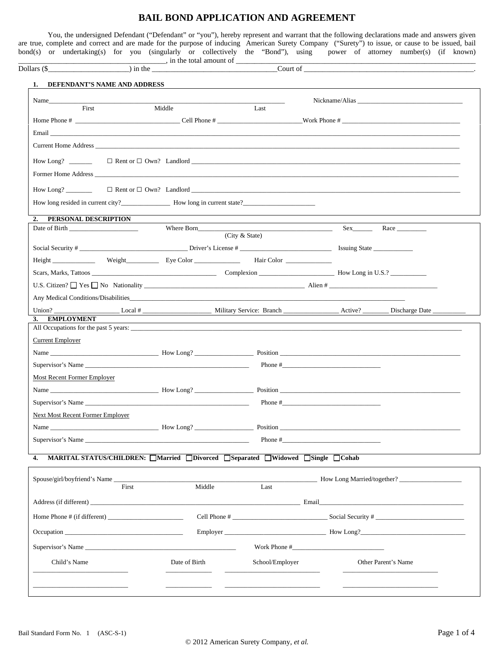# **BAIL BOND APPLICATION AND AGREEMENT**

You, the undersigned Defendant ("Defendant" or "you"), hereby represent and warrant that the following declarations made and answers given are true, complete and correct and are made for the purpose of inducing American Surety Company ("Surety") to issue, or cause to be issued, bail bond(s) or undertaking(s) for you (singularly or collectively the "Bond"), using power of attorney number(s) (if known)  $\Box$ 

|                                  | Dollars $(\frac{5}{2}$ n to $\frac{1}{2}$ in the $\frac{1}{2}$ in the $\frac{1}{2}$ court of $\frac{1}{2}$ count of $\frac{1}{2}$                                                                                              |                                         |              |                            |
|----------------------------------|--------------------------------------------------------------------------------------------------------------------------------------------------------------------------------------------------------------------------------|-----------------------------------------|--------------|----------------------------|
| 1. DEFENDANT'S NAME AND ADDRESS  |                                                                                                                                                                                                                                |                                         |              |                            |
| Name                             |                                                                                                                                                                                                                                |                                         |              | Nickname/Alias             |
| First                            | Middle                                                                                                                                                                                                                         | <b>Contract Contract</b><br>Last        |              |                            |
|                                  |                                                                                                                                                                                                                                |                                         |              |                            |
|                                  | Email and the contract of the contract of the contract of the contract of the contract of the contract of the contract of the contract of the contract of the contract of the contract of the contract of the contract of the  |                                         |              |                            |
|                                  |                                                                                                                                                                                                                                |                                         |              |                            |
|                                  |                                                                                                                                                                                                                                |                                         |              |                            |
|                                  |                                                                                                                                                                                                                                |                                         |              |                            |
|                                  |                                                                                                                                                                                                                                |                                         |              |                            |
|                                  |                                                                                                                                                                                                                                |                                         |              |                            |
|                                  |                                                                                                                                                                                                                                |                                         |              |                            |
| 2. PERSONAL DESCRIPTION          | Where Born                                                                                                                                                                                                                     | <u> 1989 - Johann Barbara, martin a</u> |              | Sex Race                   |
|                                  |                                                                                                                                                                                                                                | (City & State)                          |              |                            |
|                                  |                                                                                                                                                                                                                                |                                         |              |                            |
|                                  | Height Weight Eye Color Hair Color                                                                                                                                                                                             |                                         |              |                            |
|                                  |                                                                                                                                                                                                                                |                                         |              |                            |
|                                  | U.S. Citizen? $\Box$ Yes $\Box$ No Nationality $\Box$ Alien #                                                                                                                                                                  |                                         |              |                            |
|                                  | Any Medical Conditions/Disabilities                                                                                                                                                                                            |                                         |              |                            |
| 3. EMPLOYMENT                    |                                                                                                                                                                                                                                |                                         |              |                            |
|                                  |                                                                                                                                                                                                                                |                                         |              |                            |
| <b>Current Employer</b>          |                                                                                                                                                                                                                                |                                         |              |                            |
|                                  |                                                                                                                                                                                                                                |                                         |              |                            |
|                                  |                                                                                                                                                                                                                                |                                         |              |                            |
| Most Recent Former Employer      |                                                                                                                                                                                                                                |                                         |              |                            |
|                                  |                                                                                                                                                                                                                                |                                         |              |                            |
|                                  |                                                                                                                                                                                                                                |                                         |              |                            |
| Next Most Recent Former Employer |                                                                                                                                                                                                                                |                                         |              |                            |
|                                  | How Long?                                                                                                                                                                                                                      | Position                                |              |                            |
|                                  | Supervisor's Name experience and the set of the set of the set of the set of the set of the set of the set of the set of the set of the set of the set of the set of the set of the set of the set of the set of the set of th |                                         | Phone $\#$   |                            |
|                                  |                                                                                                                                                                                                                                |                                         |              |                            |
| 4.                               |                                                                                                                                                                                                                                |                                         |              |                            |
|                                  | MARITAL STATUS/CHILDREN: Married Divorced Separated Widowed Single Cohab                                                                                                                                                       |                                         |              |                            |
| Spouse/girl/boyfriend's Name     |                                                                                                                                                                                                                                |                                         |              | How Long Married/together? |
|                                  | First<br>Middle                                                                                                                                                                                                                | $\overline{Last}$                       |              |                            |
|                                  |                                                                                                                                                                                                                                |                                         |              |                            |
|                                  |                                                                                                                                                                                                                                |                                         |              |                            |
|                                  |                                                                                                                                                                                                                                | Employer How Long?                      |              |                            |
|                                  | Supervisor's Name experience and the set of the set of the set of the set of the set of the set of the set of the set of the set of the set of the set of the set of the set of the set of the set of the set of the set of th |                                         | Work Phone # |                            |

\_\_\_\_\_\_\_\_\_\_\_\_\_\_\_\_\_\_\_\_\_\_\_\_\_\_\_\_\_ \_\_\_\_\_\_\_\_\_\_\_\_\_\_ \_\_\_\_\_\_\_\_\_\_\_\_\_\_\_\_\_\_\_\_\_\_\_\_\_\_\_\_\_ \_\_\_\_\_\_\_\_\_\_\_\_\_\_\_\_\_\_\_\_\_\_\_\_\_\_\_\_\_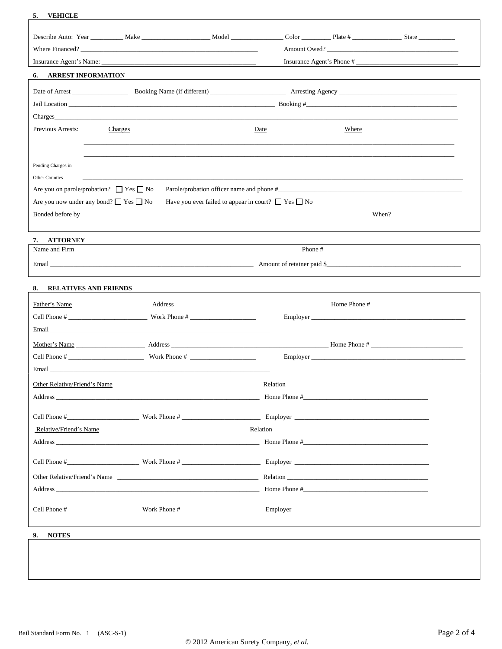| 5.<br><b>VEHICLE</b>                              |                                                                                                                                                                                                                               |                                                                                                                                                                                                                                |  |  |  |
|---------------------------------------------------|-------------------------------------------------------------------------------------------------------------------------------------------------------------------------------------------------------------------------------|--------------------------------------------------------------------------------------------------------------------------------------------------------------------------------------------------------------------------------|--|--|--|
|                                                   | Describe Auto: Year ___________ Make _______________________ Model ______________                                                                                                                                             | Color Plate # State                                                                                                                                                                                                            |  |  |  |
|                                                   |                                                                                                                                                                                                                               | Amount Owed?                                                                                                                                                                                                                   |  |  |  |
|                                                   | Insurance Agent's Phone #                                                                                                                                                                                                     |                                                                                                                                                                                                                                |  |  |  |
| <b>6. ARREST INFORMATION</b>                      |                                                                                                                                                                                                                               |                                                                                                                                                                                                                                |  |  |  |
|                                                   |                                                                                                                                                                                                                               |                                                                                                                                                                                                                                |  |  |  |
|                                                   |                                                                                                                                                                                                                               |                                                                                                                                                                                                                                |  |  |  |
|                                                   |                                                                                                                                                                                                                               | Jail Location example and the set of the set of the set of the set of the set of the set of the set of the set of the set of the set of the set of the set of the set of the set of the set of the set of the set of the set o |  |  |  |
| Previous Arrests:<br>Charges                      |                                                                                                                                                                                                                               | Date<br>Where                                                                                                                                                                                                                  |  |  |  |
|                                                   |                                                                                                                                                                                                                               |                                                                                                                                                                                                                                |  |  |  |
|                                                   |                                                                                                                                                                                                                               |                                                                                                                                                                                                                                |  |  |  |
| Pending Charges in                                |                                                                                                                                                                                                                               |                                                                                                                                                                                                                                |  |  |  |
| Other Counties                                    |                                                                                                                                                                                                                               |                                                                                                                                                                                                                                |  |  |  |
| Are you on parole/probation? $\Box$ Yes $\Box$ No |                                                                                                                                                                                                                               |                                                                                                                                                                                                                                |  |  |  |
| Are you now under any bond? $\Box$ Yes $\Box$ No  | Have you ever failed to appear in court? $\Box$ Yes $\Box$ No                                                                                                                                                                 |                                                                                                                                                                                                                                |  |  |  |
|                                                   |                                                                                                                                                                                                                               | When? $\qquad \qquad$                                                                                                                                                                                                          |  |  |  |
|                                                   |                                                                                                                                                                                                                               |                                                                                                                                                                                                                                |  |  |  |
| 7. ATTORNEY                                       |                                                                                                                                                                                                                               |                                                                                                                                                                                                                                |  |  |  |
|                                                   | Name and Firm of the state of the state of the state of the state of the state of the state of the state of the state of the state of the state of the state of the state of the state of the state of the state of the state |                                                                                                                                                                                                                                |  |  |  |
|                                                   |                                                                                                                                                                                                                               |                                                                                                                                                                                                                                |  |  |  |
|                                                   |                                                                                                                                                                                                                               |                                                                                                                                                                                                                                |  |  |  |
| 8. RELATIVES AND FRIENDS                          |                                                                                                                                                                                                                               |                                                                                                                                                                                                                                |  |  |  |
|                                                   |                                                                                                                                                                                                                               |                                                                                                                                                                                                                                |  |  |  |
|                                                   |                                                                                                                                                                                                                               |                                                                                                                                                                                                                                |  |  |  |
|                                                   |                                                                                                                                                                                                                               |                                                                                                                                                                                                                                |  |  |  |
|                                                   |                                                                                                                                                                                                                               |                                                                                                                                                                                                                                |  |  |  |
|                                                   |                                                                                                                                                                                                                               |                                                                                                                                                                                                                                |  |  |  |
|                                                   |                                                                                                                                                                                                                               |                                                                                                                                                                                                                                |  |  |  |
|                                                   |                                                                                                                                                                                                                               | Relation                                                                                                                                                                                                                       |  |  |  |
|                                                   |                                                                                                                                                                                                                               |                                                                                                                                                                                                                                |  |  |  |
|                                                   |                                                                                                                                                                                                                               |                                                                                                                                                                                                                                |  |  |  |
|                                                   |                                                                                                                                                                                                                               |                                                                                                                                                                                                                                |  |  |  |
|                                                   |                                                                                                                                                                                                                               |                                                                                                                                                                                                                                |  |  |  |
|                                                   |                                                                                                                                                                                                                               |                                                                                                                                                                                                                                |  |  |  |
|                                                   |                                                                                                                                                                                                                               |                                                                                                                                                                                                                                |  |  |  |
|                                                   |                                                                                                                                                                                                                               | Other Relative/Friend's Name expansion of the contract of the Relation Relation Relative/Friend's Name                                                                                                                         |  |  |  |
|                                                   |                                                                                                                                                                                                                               |                                                                                                                                                                                                                                |  |  |  |
|                                                   |                                                                                                                                                                                                                               |                                                                                                                                                                                                                                |  |  |  |
|                                                   |                                                                                                                                                                                                                               |                                                                                                                                                                                                                                |  |  |  |
|                                                   |                                                                                                                                                                                                                               |                                                                                                                                                                                                                                |  |  |  |
| 9. NOTES                                          |                                                                                                                                                                                                                               |                                                                                                                                                                                                                                |  |  |  |
|                                                   |                                                                                                                                                                                                                               |                                                                                                                                                                                                                                |  |  |  |
|                                                   |                                                                                                                                                                                                                               |                                                                                                                                                                                                                                |  |  |  |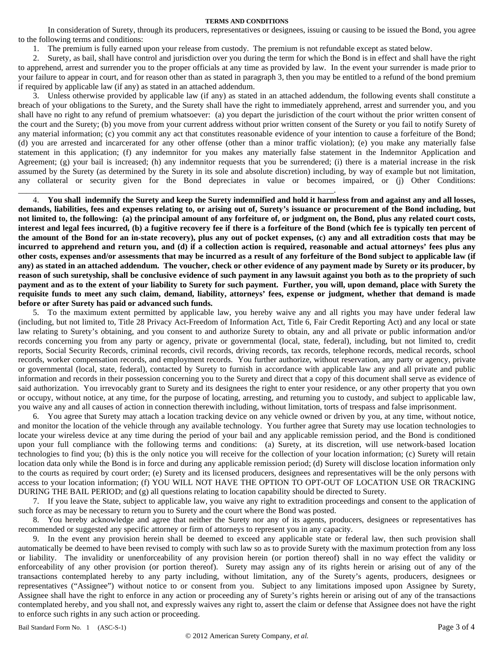#### **TERMS AND CONDITIONS**

In consideration of Surety, through its producers, representatives or designees, issuing or causing to be issued the Bond, you agree to the following terms and conditions:

1. The premium is fully earned upon your release from custody. The premium is not refundable except as stated below.

\_\_\_\_\_\_\_\_\_\_\_\_\_\_\_\_\_\_\_\_\_\_\_\_\_\_\_\_\_\_\_\_\_\_\_\_\_\_\_\_\_\_\_\_\_\_\_\_\_\_\_\_\_\_\_\_\_\_\_\_\_\_\_\_\_\_\_\_\_\_\_\_\_\_\_\_\_.

2. Surety, as bail, shall have control and jurisdiction over you during the term for which the Bond is in effect and shall have the right to apprehend, arrest and surrender you to the proper officials at any time as provided by law. In the event your surrender is made prior to your failure to appear in court, and for reason other than as stated in paragraph 3, then you may be entitled to a refund of the bond premium if required by applicable law (if any) as stated in an attached addendum.

3. Unless otherwise provided by applicable law (if any) as stated in an attached addendum, the following events shall constitute a breach of your obligations to the Surety, and the Surety shall have the right to immediately apprehend, arrest and surrender you, and you shall have no right to any refund of premium whatsoever: (a) you depart the jurisdiction of the court without the prior written consent of the court and the Surety; (b) you move from your current address without prior written consent of the Surety or you fail to notify Surety of any material information; (c) you commit any act that constitutes reasonable evidence of your intention to cause a forfeiture of the Bond; (d) you are arrested and incarcerated for any other offense (other than a minor traffic violation); (e) you make any materially false statement in this application; (f) any indemnitor for you makes any materially false statement in the Indemnitor Application and Agreement; (g) your bail is increased; (h) any indemnitor requests that you be surrendered; (i) there is a material increase in the risk assumed by the Surety (as determined by the Surety in its sole and absolute discretion) including, by way of example but not limitation, any collateral or security given for the Bond depreciates in value or becomes impaired, or (j) Other Conditions:

4. **You shall indemnify the Surety and keep the Surety indemnified and hold it harmless from and against any and all losses, demands, liabilities, fees and expenses relating to, or arising out of, Surety's issuance or procurement of the Bond including, but not limited to, the following: (a) the principal amount of any forfeiture of, or judgment on, the Bond, plus any related court costs, interest and legal fees incurred, (b) a fugitive recovery fee if there is a forfeiture of the Bond (which fee is typically ten percent of the amount of the Bond for an in-state recovery), plus any out of pocket expenses, (c) any and all extradition costs that may be incurred to apprehend and return you, and (d) if a collection action is required, reasonable and actual attorneys' fees plus any other costs, expenses and/or assessments that may be incurred as a result of any forfeiture of the Bond subject to applicable law (if any) as stated in an attached addendum. The voucher, check or other evidence of any payment made by Surety or its producer, by reason of such suretyship, shall be conclusive evidence of such payment in any lawsuit against you both as to the propriety of such payment and as to the extent of your liability to Surety for such payment. Further, you will, upon demand, place with Surety the requisite funds to meet any such claim, demand, liability, attorneys' fees, expense or judgment, whether that demand is made before or after Surety has paid or advanced such funds.**

5. To the maximum extent permitted by applicable law, you hereby waive any and all rights you may have under federal law (including, but not limited to, Title 28 Privacy Act-Freedom of Information Act, Title 6, Fair Credit Reporting Act) and any local or state law relating to Surety's obtaining, and you consent to and authorize Surety to obtain, any and all private or public information and/or records concerning you from any party or agency, private or governmental (local, state, federal), including, but not limited to, credit reports, Social Security Records, criminal records, civil records, driving records, tax records, telephone records, medical records, school records, worker compensation records, and employment records. You further authorize, without reservation, any party or agency, private or governmental (local, state, federal), contacted by Surety to furnish in accordance with applicable law any and all private and public information and records in their possession concerning you to the Surety and direct that a copy of this document shall serve as evidence of said authorization.You irrevocably grant to Surety and its designees the right to enter your residence, or any other property that you own or occupy, without notice, at any time, for the purpose of locating, arresting, and returning you to custody, and subject to applicable law, you waive any and all causes of action in connection therewith including, without limitation, torts of trespass and false imprisonment.

6. You agree that Surety may attach a location tracking device on any vehicle owned or driven by you, at any time, without notice, and monitor the location of the vehicle through any available technology. You further agree that Surety may use location technologies to locate your wireless device at any time during the period of your bail and any applicable remission period, and the Bond is conditioned upon your full compliance with the following terms and conditions: (a) Surety, at its discretion, will use network-based location technologies to find you; (b) this is the only notice you will receive for the collection of your location information; (c) Surety will retain location data only while the Bond is in force and during any applicable remission period; (d) Surety will disclose location information only to the courts as required by court order; (e) Surety and its licensed producers, designees and representatives will be the only persons with access to your location information; (f) YOU WILL NOT HAVE THE OPTION TO OPT-OUT OF LOCATION USE OR TRACKING DURING THE BAIL PERIOD; and (g) all questions relating to location capability should be directed to Surety.

7. If you leave the State, subject to applicable law, you waive any right to extradition proceedings and consent to the application of such force as may be necessary to return you to Surety and the court where the Bond was posted.

8. You hereby acknowledge and agree that neither the Surety nor any of its agents, producers, designees or representatives has recommended or suggested any specific attorney or firm of attorneys to represent you in any capacity.

9. In the event any provision herein shall be deemed to exceed any applicable state or federal law, then such provision shall automatically be deemed to have been revised to comply with such law so as to provide Surety with the maximum protection from any loss or liability. The invalidity or unenforceability of any provision herein (or portion thereof) shall in no way effect the validity or enforceability of any other provision (or portion thereof). Surety may assign any of its rights herein or arising out of any of the transactions contemplated hereby to any party including, without limitation, any of the Surety's agents, producers, designees or representatives ("Assignee") without notice to or consent from you. Subject to any limitations imposed upon Assignee by Surety, Assignee shall have the right to enforce in any action or proceeding any of Surety's rights herein or arising out of any of the transactions contemplated hereby, and you shall not, and expressly waives any right to, assert the claim or defense that Assignee does not have the right to enforce such rights in any such action or proceeding.